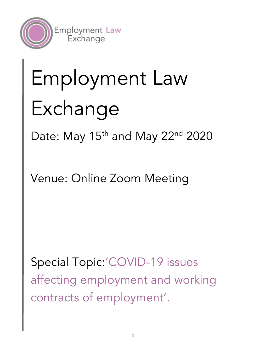

# Employment Law Exchange

Date: May  $15<sup>th</sup>$  and May  $22<sup>nd</sup>$  2020

Venue: Online Zoom Meeting

Special Topic:'COVID-19 issues affecting employment and working contracts of employment'.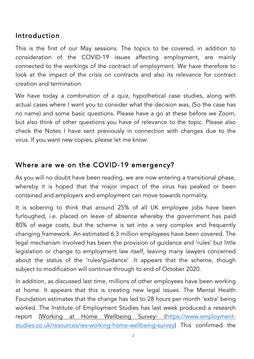# Introduction

This is the first of our May sessions. The topics to be covered, in addition to consideration of the COVID-19 issues affecting employment, are mainly connected to the workings of the contract of employment. We have therefore to look at the impact of the crisis on contracts and also its relevance for contract creation and termination.

We have today a combination of a quiz, hypothetical case studies, along with actual cases where I want you to consider what the decision was, (So the case has no name) and some basic questions. Please have a go at these before we Zoom, but also think of other questions you have of relevance to the topic. Please also check the Notes I have sent previously in connection with changes due to the virus. If you want new copies, please let me know.

# Where are we on the COVID-19 emergency?

As you will no doubt have been reading, we are now entering a transitional phase, whereby it is hoped that the major impact of the virus has peaked or been contained and employers and employment can move towards normality.

It is sobering to think that around 25% of all UK employee jobs have been furloughed, i.e. placed on leave of absence whereby the government has paid 80% of wage costs, but the scheme is set into a very complex and frequently changing framework. An estimated 6.3 million employees have been covered. The legal mechanism involved has been the provision of guidance and 'rules' but little legislation or change to employment law itself, leaving many lawyers concerned about the status of the 'rules/guidance' .It appears that the scheme, though subject to modification will continue through to end of October 2020.

In addition, as discussed last time, millions of other employees have been working at home. It appears that this is creating new legal issues. The Mental Health Foundation estimates that the change has led to 28 hours per month 'extra' being worked. The Institute of Employment Studies has last week produced a research report (Working at Home Wellbeing Survey- (https://www.employmentstudies.co.uk/resources/ies-working-home-wellbeing-survey) This confirmed the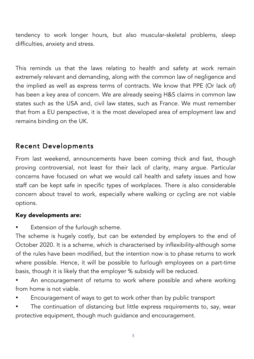tendency to work longer hours, but also muscular-skeletal problems, sleep difficulties, anxiety and stress.

This reminds us that the laws relating to health and safety at work remain extremely relevant and demanding, along with the common law of negligence and the implied as well as express terms of contracts. We know that PPE (Or lack of) has been a key area of concern. We are already seeing H&S claims in common law states such as the USA and, civil law states, such as France. We must remember that from a EU perspective, it is the most developed area of employment law and remains binding on the UK.

# Recent Developments

From last weekend, announcements have been coming thick and fast, though proving controversial, not least for their lack of clarity, many argue. Particular concerns have focused on what we would call health and safety issues and how staff can be kept safe in specific types of workplaces. There is also considerable concern about travel to work, especially where walking or cycling are not viable options.

#### Key developments are:

Extension of the furlough scheme.

The scheme is hugely costly, but can be extended by employers to the end of October 2020. It is a scheme, which is characterised by inflexibility-although some of the rules have been modified, but the intention now is to phase returns to work where possible. Hence, it will be possible to furlough employees on a part-time basis, though it is likely that the employer % subsidy will be reduced.

- An encouragement of returns to work where possible and where working from home is not viable.
- Encouragement of ways to get to work other than by public transport
- The continuation of distancing but little express requirements to, say, wear protective equipment, though much guidance and encouragement.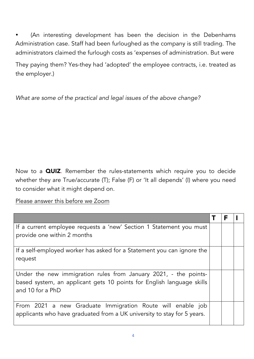(An interesting development has been the decision in the Debenhams Administration case. Staff had been furloughed as the company is still trading. The administrators claimed the furlough costs as 'expenses of administration. But were

They paying them? Yes-they had 'adopted' the employee contracts, i.e. treated as the employer.)

*What are some of the practical and legal issues of the above change?*

Now to a QUIZ. Remember the rules-statements which require you to decide whether they are True/accurate (T); False (F) or 'It all depends' (I) where you need to consider what it might depend on.

Please answer this before we Zoom

| If a current employee requests a 'new' Section 1 Statement you must     |  |  |
|-------------------------------------------------------------------------|--|--|
| provide one within 2 months                                             |  |  |
|                                                                         |  |  |
| If a self-employed worker has asked for a Statement you can ignore the  |  |  |
| request                                                                 |  |  |
|                                                                         |  |  |
| Under the new immigration rules from January 2021, - the points-        |  |  |
| based system, an applicant gets 10 points for English language skills   |  |  |
| and 10 for a PhD                                                        |  |  |
|                                                                         |  |  |
| From 2021 a new Graduate Immigration Route will enable job              |  |  |
| applicants who have graduated from a UK university to stay for 5 years. |  |  |
|                                                                         |  |  |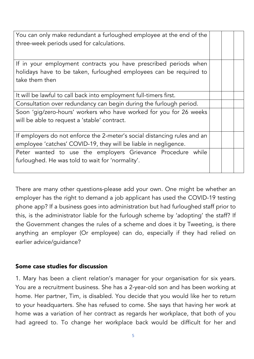| You can only make redundant a furloughed employee at the end of the<br>three-week periods used for calculations.                                         |  |  |
|----------------------------------------------------------------------------------------------------------------------------------------------------------|--|--|
| If in your employment contracts you have prescribed periods when<br>holidays have to be taken, furloughed employees can be required to<br>take them then |  |  |
| It will be lawful to call back into employment full-timers first.                                                                                        |  |  |
| Consultation over redundancy can begin during the furlough period.                                                                                       |  |  |
| Soon 'gig/zero-hours' workers who have worked for you for 26 weeks<br>will be able to request a 'stable' contract.                                       |  |  |
| If employers do not enforce the 2-meter's social distancing rules and an<br>employee 'catches' COVID-19, they will be liable in negligence.              |  |  |
| Peter wanted to use the employers Grievance Procedure while<br>furloughed. He was told to wait for 'normality'.                                          |  |  |

There are many other questions-please add your own. One might be whether an employer has the right to demand a job applicant has used the COVID-19 testing phone app? If a business goes into administration but had furloughed staff prior to this, is the administrator liable for the furlough scheme by 'adopting' the staff? If the Government changes the rules of a scheme and does it by Tweeting, is there anything an employer (Or employee) can do, especially if they had relied on earlier advice/guidance?

#### Some case studies for discussion

1. Mary has been a client relation's manager for your organisation for six years. You are a recruitment business. She has a 2-year-old son and has been working at home. Her partner, Tim, is disabled. You decide that you would like her to return to your headquarters. She has refused to come. She says that having her work at home was a variation of her contract as regards her workplace, that both of you had agreed to. To change her workplace back would be difficult for her and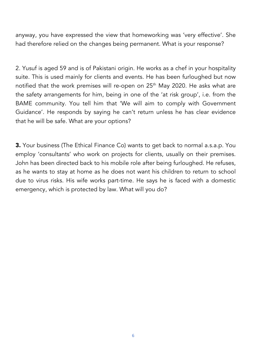anyway, you have expressed the view that homeworking was 'very effective'. She had therefore relied on the changes being permanent. What is your response?

2. Yusuf is aged 59 and is of Pakistani origin. He works as a chef in your hospitality suite. This is used mainly for clients and events. He has been furloughed but now notified that the work premises will re-open on 25<sup>th</sup> May 2020. He asks what are the safety arrangements for him, being in one of the 'at risk group', i.e. from the BAME community. You tell him that 'We will aim to comply with Government Guidance'. He responds by saying he can't return unless he has clear evidence that he will be safe. What are your options?

3. Your business (The Ethical Finance Co) wants to get back to normal a.s.a.p. You employ 'consultants' who work on projects for clients, usually on their premises. John has been directed back to his mobile role after being furloughed. He refuses, as he wants to stay at home as he does not want his children to return to school due to virus risks. His wife works part-time. He says he is faced with a domestic emergency, which is protected by law. What will you do?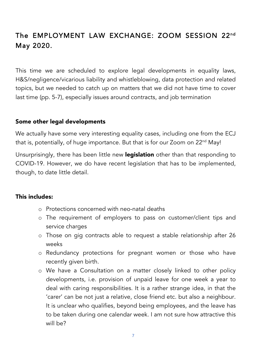# The EMPLOYMENT LAW EXCHANGE: ZOOM SESSION 22nd May 2020.

This time we are scheduled to explore legal developments in equality laws, H&S/negligence/vicarious liability and whistleblowing, data protection and related topics, but we needed to catch up on matters that we did not have time to cover last time (pp. 5-7), especially issues around contracts, and job termination

#### Some other legal developments

We actually have some very interesting equality cases, including one from the ECJ that is, potentially, of huge importance. But that is for our Zoom on 22<sup>nd</sup> May!

Unsurprisingly, there has been little new legislation other than that responding to COVID-19. However, we do have recent legislation that has to be implemented, though, to date little detail.

#### This includes:

- o Protections concerned with neo-natal deaths
- o The requirement of employers to pass on customer/client tips and service charges
- o Those on gig contracts able to request a stable relationship after 26 weeks
- o Redundancy protections for pregnant women or those who have recently given birth.
- o We have a Consultation on a matter closely linked to other policy developments, i.e. provision of unpaid leave for one week a year to deal with caring responsibilities. It is a rather strange idea, in that the 'carer' can be not just a relative, close friend etc. but also a neighbour. It is unclear who qualifies, beyond being employees, and the leave has to be taken during one calendar week. I am not sure how attractive this will be?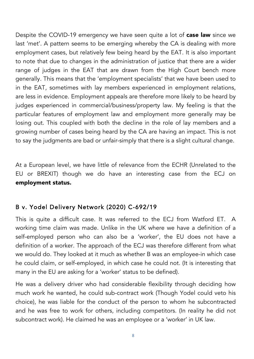Despite the COVID-19 emergency we have seen quite a lot of **case law** since we last 'met'. A pattern seems to be emerging whereby the CA is dealing with more employment cases, but relatively few being heard by the EAT. It is also important to note that due to changes in the administration of justice that there are a wider range of judges in the EAT that are drawn from the High Court bench more generally. This means that the 'employment specialists' that we have been used to in the EAT, sometimes with lay members experienced in employment relations, are less in evidence. Employment appeals are therefore more likely to be heard by judges experienced in commercial/business/property law. My feeling is that the particular features of employment law and employment more generally may be losing out. This coupled with both the decline in the role of lay members and a growing number of cases being heard by the CA are having an impact. This is not to say the judgments are bad or unfair-simply that there is a slight cultural change.

At a European level, we have little of relevance from the ECHR (Unrelated to the EU or BREXIT) though we do have an interesting case from the ECJ on employment status.

### B v. Yodel Delivery Network (2020) C-692/19

This is quite a difficult case. It was referred to the ECJ from Watford ET. A working time claim was made. Unlike in the UK where we have a definition of a self-employed person who can also be a 'worker', the EU does not have a definition of a worker. The approach of the ECJ was therefore different from what we would do. They looked at it much as whether B was an employee-in which case he could claim, or self-employed, in which case he could not. (It is interesting that many in the EU are asking for a 'worker' status to be defined).

He was a delivery driver who had considerable flexibility through deciding how much work he wanted, he could sub-contract work (Though Yodel could veto his choice), he was liable for the conduct of the person to whom he subcontracted and he was free to work for others, including competitors. (In reality he did not subcontract work). He claimed he was an employee or a 'worker' in UK law.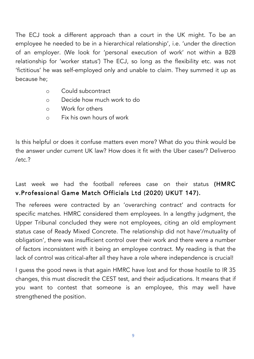The ECJ took a different approach than a court in the UK might. To be an employee he needed to be in a hierarchical relationship', i.e. 'under the direction of an employer. (We look for 'personal execution of work' not within a B2B relationship for 'worker status') The ECJ, so long as the flexibility etc. was not 'fictitious' he was self-employed only and unable to claim. They summed it up as because he;

- o Could subcontract
- o Decide how much work to do
- o Work for others
- o Fix his own hours of work

Is this helpful or does it confuse matters even more? What do you think would be the answer under current UK law? How does it fit with the Uber cases/? Deliveroo /etc.?

# Last week we had the football referees case on their status (HMRC v.Professional Game Match Officials Ltd (2020) UKUT 147).

The referees were contracted by an 'overarching contract' and contracts for specific matches. HMRC considered them employees. In a lengthy judgment, the Upper Tribunal concluded they were not employees, citing an old employment status case of Ready Mixed Concrete. The relationship did not have'/mutuality of obligation', there was insufficient control over their work and there were a number of factors inconsistent with it being an employee contract. My reading is that the lack of control was critical-after all they have a role where independence is crucial!

I guess the good news is that again HMRC have lost and for those hostile to IR 35 changes, this must discredit the CEST test, and their adjudications. It means that if you want to contest that someone is an employee, this may well have strengthened the position.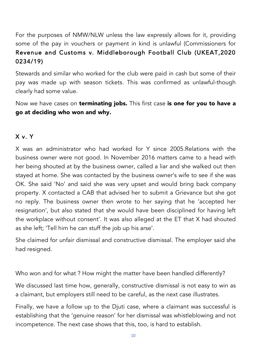For the purposes of NMW/NLW unless the law expressly allows for it, providing some of the pay in vouchers or payment in kind is unlawful (Commissioners for Revenue and Customs v. Middleborough Football Club (UKEAT,2020 0234/19)

Stewards and similar who worked for the club were paid in cash but some of their pay was made up with season tickets. This was confirmed as unlawful-though clearly had some value.

Now we have cases on **terminating jobs.** This first case is one for you to have a go at deciding who won and why.

#### X v. Y

X was an administrator who had worked for Y since 2005.Relations with the business owner were not good. In November 2016 matters came to a head with her being shouted at by the business owner, called a liar and she walked out then stayed at home. She was contacted by the business owner's wife to see if she was OK. She said 'No' and said she was very upset and would bring back company property. X contacted a CAB that advised her to submit a Grievance but she got no reply. The business owner then wrote to her saying that he 'accepted her resignation', but also stated that she would have been disciplined for having left the workplace without consent'. It was also alleged at the ET that X had shouted as she left; 'Tell him he can stuff the job up his arse'.

She claimed for unfair dismissal and constructive dismissal. The employer said she had resigned.

Who won and for what ? How might the matter have been handled differently?

We discussed last time how, generally, constructive dismissal is not easy to win as a claimant, but employers still need to be careful, as the next case illustrates.

Finally, we have a follow up to the Djuti case, where a claimant was successful is establishing that the 'genuine reason' for her dismissal was whistleblowing and not incompetence. The next case shows that this, too, is hard to establish.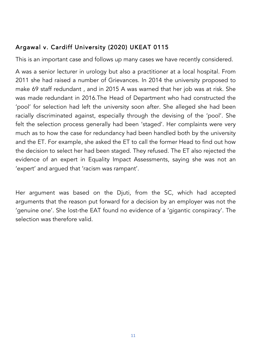# Argawal v. Cardiff University (2020) UKEAT 0115

This is an important case and follows up many cases we have recently considered.

A was a senior lecturer in urology but also a practitioner at a local hospital. From 2011 she had raised a number of Grievances. In 2014 the university proposed to make 69 staff redundant , and in 2015 A was warned that her job was at risk. She was made redundant in 2016.The Head of Department who had constructed the 'pool' for selection had left the university soon after. She alleged she had been racially discriminated against, especially through the devising of the 'pool'. She felt the selection process generally had been 'staged'. Her complaints were very much as to how the case for redundancy had been handled both by the university and the ET. For example, she asked the ET to call the former Head to find out how the decision to select her had been staged. They refused. The ET also rejected the evidence of an expert in Equality Impact Assessments, saying she was not an 'expert' and argued that 'racism was rampant'.

Her argument was based on the Djuti, from the SC, which had accepted arguments that the reason put forward for a decision by an employer was not the 'genuine one'. She lost-the EAT found no evidence of a 'gigantic conspiracy'. The selection was therefore valid.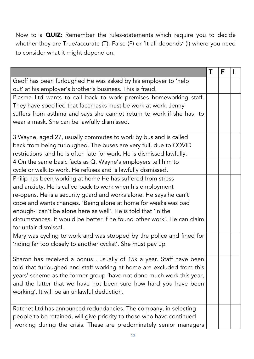Now to a QUIZ: Remember the rules-statements which require you to decide whether they are True/accurate (T); False (F) or 'It all depends' (I) where you need to consider what it might depend on.

|                                                                                                                              | F |  |
|------------------------------------------------------------------------------------------------------------------------------|---|--|
| Geoff has been furloughed He was asked by his employer to 'help<br>out' at his employer's brother's business. This is fraud. |   |  |
| Plasma Ltd wants to call back to work premises homeworking staff.                                                            |   |  |
| They have specified that facemasks must be work at work. Jenny                                                               |   |  |
| suffers from asthma and says she cannot return to work if she has to                                                         |   |  |
| wear a mask. She can be lawfully dismissed.                                                                                  |   |  |
| 3 Wayne, aged 27, usually commutes to work by bus and is called                                                              |   |  |
| back from being furloughed. The buses are very full, due to COVID                                                            |   |  |
| restrictions and he is often late for work. He is dismissed lawfully.                                                        |   |  |
| 4 On the same basic facts as $Q$ , Wayne's employers tell him to                                                             |   |  |
| cycle or walk to work. He refuses and is lawfully dismissed.                                                                 |   |  |
| Philip has been working at home He has suffered from stress                                                                  |   |  |
| and anxiety. He is called back to work when his employment                                                                   |   |  |
| re-opens. He is a security guard and works alone. He says he can't                                                           |   |  |
| cope and wants changes. 'Being alone at home for weeks was bad                                                               |   |  |
| enough-I can't be alone here as well'. He is told that 'In the                                                               |   |  |
| circumstances, it would be better if he found other work'. He can claim                                                      |   |  |
| for unfair dismissal.                                                                                                        |   |  |
| Mary was cycling to work and was stopped by the police and fined for                                                         |   |  |
| 'riding far too closely to another cyclist'. She must pay up                                                                 |   |  |
| Sharon has received a bonus, usually of £5k a year. Staff have been                                                          |   |  |
| told that furloughed and staff working at home are excluded from this                                                        |   |  |
| years' scheme as the former group 'have not done much work this year,                                                        |   |  |
| and the latter that we have not been sure how hard you have been                                                             |   |  |
| working'. It will be an unlawful deduction.                                                                                  |   |  |
|                                                                                                                              |   |  |
| Ratchet Ltd has announced redundancies. The company, in selecting                                                            |   |  |
| people to be retained, will give priority to those who have continued                                                        |   |  |
| working during the crisis. These are predominately senior managers                                                           |   |  |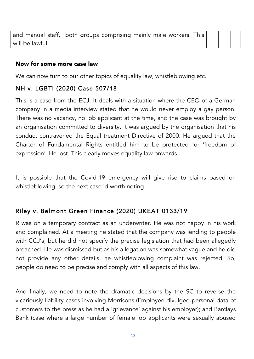|                 | and manual staff, both groups comprising mainly male workers. This |  |  |
|-----------------|--------------------------------------------------------------------|--|--|
| will be lawful. |                                                                    |  |  |

#### Now for some more case law

We can now turn to our other topics of equality law, whistleblowing etc.

## NH v. LGBTI (2020) Case 507/18

This is a case from the ECJ. It deals with a situation where the CEO of a German company in a media interview stated that he would never employ a gay person. There was no vacancy, no job applicant at the time, and the case was brought by an organisation committed to diversity. It was argued by the organisation that his conduct contravened the Equal treatment Directive of 2000. He argued that the Charter of Fundamental Rights entitled him to be protected for 'freedom of expression'. He lost. This clearly moves equality law onwards.

It is possible that the Covid-19 emergency will give rise to claims based on whistleblowing, so the next case id worth noting.

# Riley v. Belmont Green Finance (2020) UKEAT 0133/19

R was on a temporary contract as an underwriter. He was not happy in his work and complained. At a meeting he stated that the company was lending to people with CCJ's, but he did not specify the precise legislation that had been allegedly breached. He was dismissed but as his allegation was somewhat vague and he did not provide any other details, he whistleblowing complaint was rejected. So, people do need to be precise and comply with all aspects of this law.

And finally, we need to note the dramatic decisions by the SC to reverse the vicariously liability cases involving Morrisons (Employee divulged personal data of customers to the press as he had a 'grievance' against his employer); and Barclays Bank (case where a large number of female job applicants were sexually abused